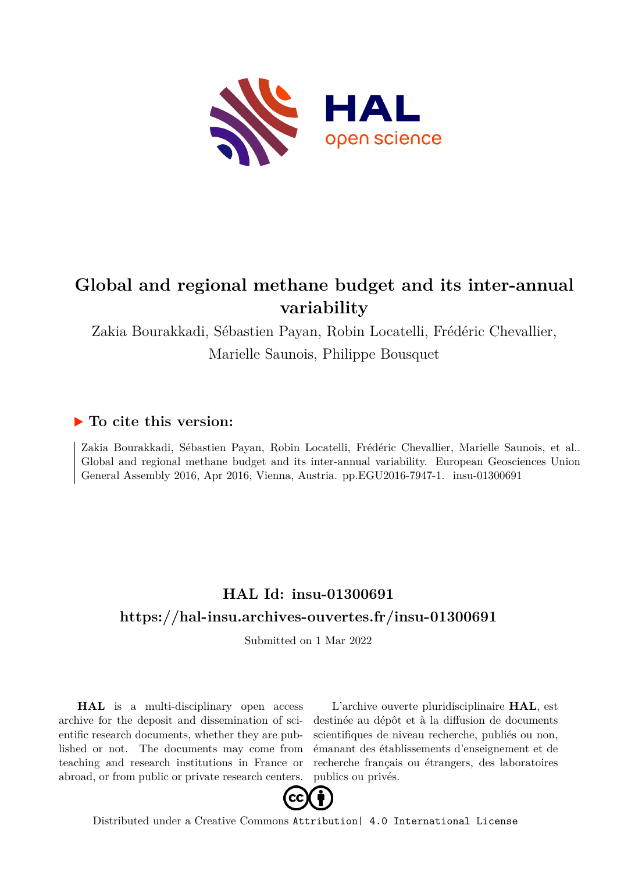

## **Global and regional methane budget and its inter-annual variability**

Zakia Bourakkadi, Sébastien Payan, Robin Locatelli, Frédéric Chevallier, Marielle Saunois, Philippe Bousquet

## **To cite this version:**

Zakia Bourakkadi, Sébastien Payan, Robin Locatelli, Frédéric Chevallier, Marielle Saunois, et al.. Global and regional methane budget and its inter-annual variability. European Geosciences Union General Assembly 2016, Apr 2016, Vienna, Austria. pp.EGU2016-7947-1. insu-01300691

## **HAL Id: insu-01300691 <https://hal-insu.archives-ouvertes.fr/insu-01300691>**

Submitted on 1 Mar 2022

**HAL** is a multi-disciplinary open access archive for the deposit and dissemination of scientific research documents, whether they are published or not. The documents may come from teaching and research institutions in France or abroad, or from public or private research centers.

L'archive ouverte pluridisciplinaire **HAL**, est destinée au dépôt et à la diffusion de documents scientifiques de niveau recherche, publiés ou non, émanant des établissements d'enseignement et de recherche français ou étrangers, des laboratoires publics ou privés.



Distributed under a Creative Commons [Attribution| 4.0 International License](http://creativecommons.org/licenses/by/4.0/)